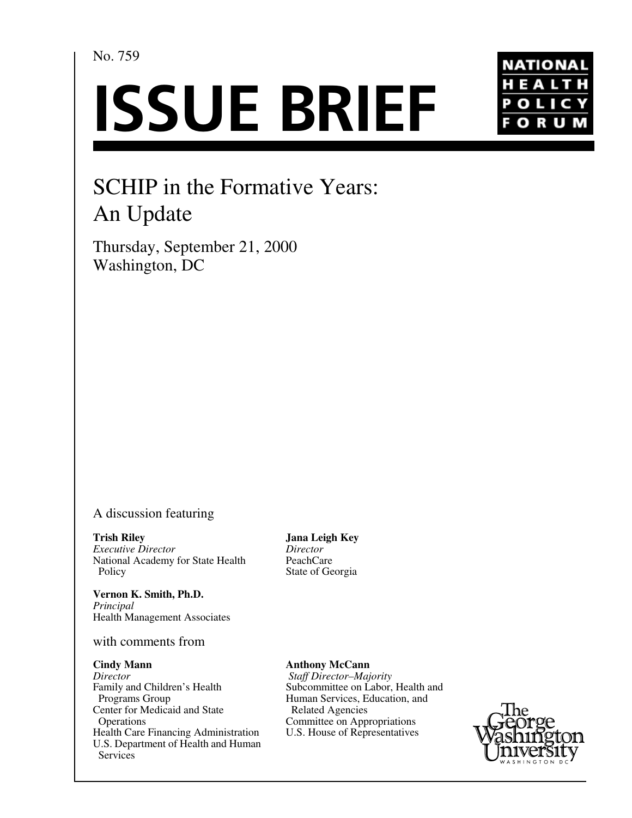## No. 759

# **ISSUE BRIEF**



# SCHIP in the Formative Years: An Update

Thursday, September 21, 2000 Washington, DC

## A discussion featuring

**Trish Riley** *Executive Director* National Academy for State Health Policy

**Vernon K. Smith, Ph.D.**  *Principal* Health Management Associates

with comments from

#### **Cindy Mann**

*Director* Family and Children's Health Programs Group Center for Medicaid and State **Operations** Health Care Financing Administration U.S. Department of Health and Human Services

**Jana Leigh Key** *Director* PeachCare State of Georgia

#### **Anthony McCann**

*Staff Director–Majority* Subcommittee on Labor, Health and Human Services, Education, and Related Agencies Committee on Appropriations U.S. House of Representatives

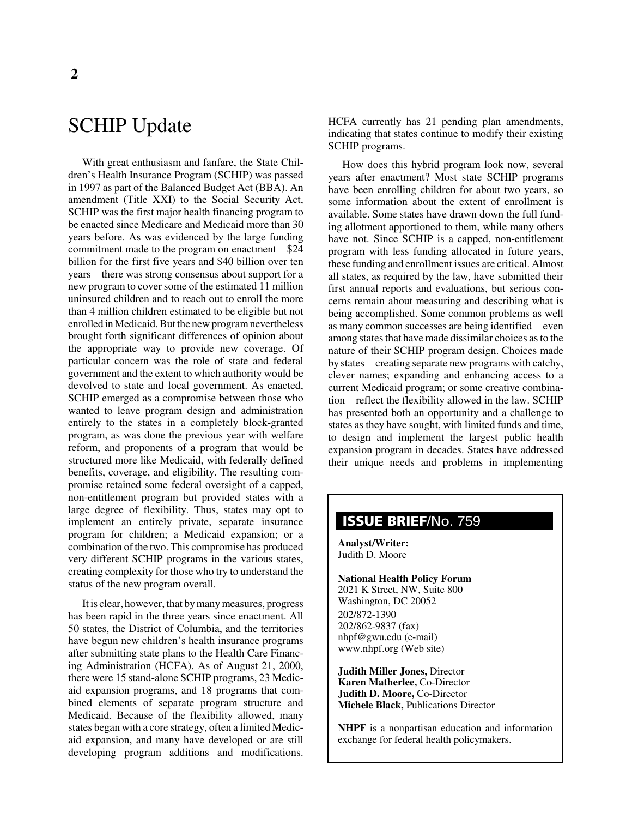# SCHIP Update

With great enthusiasm and fanfare, the State Children's Health Insurance Program (SCHIP) was passed in 1997 as part of the Balanced Budget Act (BBA). An amendment (Title XXI) to the Social Security Act, SCHIP was the first major health financing program to be enacted since Medicare and Medicaid more than 30 years before. As was evidenced by the large funding commitment made to the program on enactment—\$24 billion for the first five years and \$40 billion over ten years—there was strong consensus about support for a new program to cover some of the estimated 11 million uninsured children and to reach out to enroll the more than 4 million children estimated to be eligible but not enrolled in Medicaid. But the new program nevertheless brought forth significant differences of opinion about the appropriate way to provide new coverage. Of particular concern was the role of state and federal government and the extent to which authority would be devolved to state and local government. As enacted, SCHIP emerged as a compromise between those who wanted to leave program design and administration entirely to the states in a completely block-granted program, as was done the previous year with welfare reform, and proponents of a program that would be structured more like Medicaid, with federally defined benefits, coverage, and eligibility. The resulting compromise retained some federal oversight of a capped, non-entitlement program but provided states with a large degree of flexibility. Thus, states may opt to implement an entirely private, separate insurance program for children; a Medicaid expansion; or a combination of the two. This compromise has produced very different SCHIP programs in the various states, creating complexity for those who try to understand the status of the new program overall.

It is clear, however, that by many measures, progress has been rapid in the three years since enactment. All 50 states, the District of Columbia, and the territories have begun new children's health insurance programs after submitting state plans to the Health Care Financing Administration (HCFA). As of August 21, 2000, there were 15 stand-alone SCHIP programs, 23 Medicaid expansion programs, and 18 programs that combined elements of separate program structure and Medicaid. Because of the flexibility allowed, many states began with a core strategy, often a limited Medicaid expansion, and many have developed or are still developing program additions and modifications.

HCFA currently has 21 pending plan amendments, indicating that states continue to modify their existing SCHIP programs.

How does this hybrid program look now, several years after enactment? Most state SCHIP programs have been enrolling children for about two years, so some information about the extent of enrollment is available. Some states have drawn down the full funding allotment apportioned to them, while many others have not. Since SCHIP is a capped, non-entitlement program with less funding allocated in future years, these funding and enrollment issues are critical. Almost all states, as required by the law, have submitted their first annual reports and evaluations, but serious concerns remain about measuring and describing what is being accomplished. Some common problems as well as many common successes are being identified—even among states that have made dissimilar choices as to the nature of their SCHIP program design. Choices made by states—creating separate new programs with catchy, clever names; expanding and enhancing access to a current Medicaid program; or some creative combination—reflect the flexibility allowed in the law. SCHIP has presented both an opportunity and a challenge to states as they have sought, with limited funds and time, to design and implement the largest public health expansion program in decades. States have addressed their unique needs and problems in implementing

# **ISSUE BRIEF**/No. 759

**Analyst/Writer:** Judith D. Moore

**National Health Policy Forum** 2021 K Street, NW, Suite 800 Washington, DC 20052 202/872-1390 202/862-9837 (fax) nhpf@gwu.edu (e-mail) www.nhpf.org (Web site)

**Judith Miller Jones,** Director **Karen Matherlee,** Co-Director **Judith D. Moore,** Co-Director **Michele Black,** Publications Director

**NHPF** is a nonpartisan education and information exchange for federal health policymakers.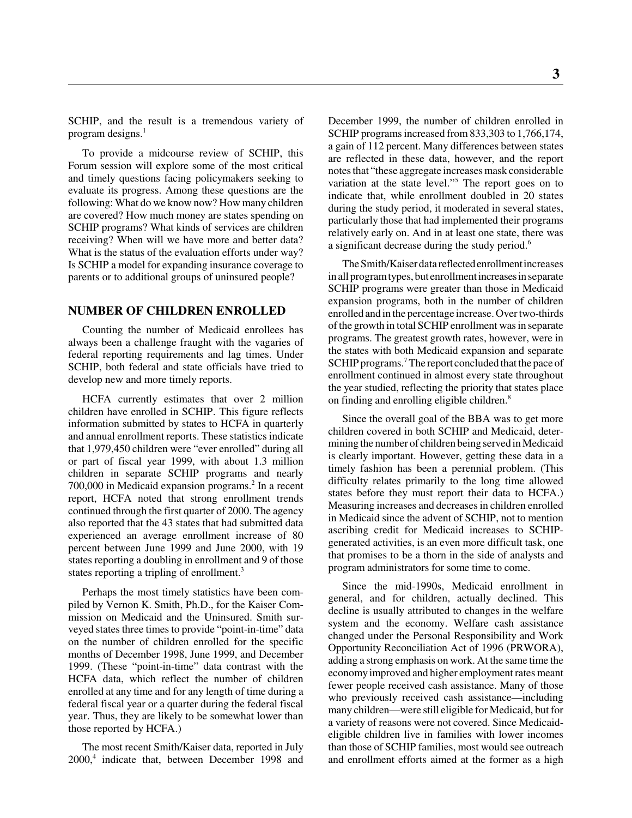SCHIP, and the result is a tremendous variety of program designs. $<sup>1</sup>$ </sup>

To provide a midcourse review of SCHIP, this Forum session will explore some of the most critical and timely questions facing policymakers seeking to evaluate its progress. Among these questions are the following: What do we know now? How many children are covered? How much money are states spending on SCHIP programs? What kinds of services are children receiving? When will we have more and better data? What is the status of the evaluation efforts under way? Is SCHIP a model for expanding insurance coverage to parents or to additional groups of uninsured people?

#### **NUMBER OF CHILDREN ENROLLED**

Counting the number of Medicaid enrollees has always been a challenge fraught with the vagaries of federal reporting requirements and lag times. Under SCHIP, both federal and state officials have tried to develop new and more timely reports.

HCFA currently estimates that over 2 million children have enrolled in SCHIP. This figure reflects information submitted by states to HCFA in quarterly and annual enrollment reports. These statistics indicate that 1,979,450 children were "ever enrolled" during all or part of fiscal year 1999, with about 1.3 million children in separate SCHIP programs and nearly 700,000 in Medicaid expansion programs.<sup>2</sup> In a recent report, HCFA noted that strong enrollment trends continued through the first quarter of 2000. The agency also reported that the 43 states that had submitted data experienced an average enrollment increase of 80 percent between June 1999 and June 2000, with 19 states reporting a doubling in enrollment and 9 of those states reporting a tripling of enrollment.<sup>3</sup>

Perhaps the most timely statistics have been compiled by Vernon K. Smith, Ph.D., for the Kaiser Commission on Medicaid and the Uninsured. Smith surveyed states three times to provide "point-in-time" data on the number of children enrolled for the specific months of December 1998, June 1999, and December 1999. (These "point-in-time" data contrast with the HCFA data, which reflect the number of children enrolled at any time and for any length of time during a federal fiscal year or a quarter during the federal fiscal year. Thus, they are likely to be somewhat lower than those reported by HCFA.)

The most recent Smith/Kaiser data, reported in July 2000,<sup>4</sup> indicate that, between December 1998 and December 1999, the number of children enrolled in SCHIP programs increased from 833,303 to 1,766,174, a gain of 112 percent. Many differences between states are reflected in these data, however, and the report notes that "these aggregate increases mask considerable variation at the state level."<sup>5</sup> The report goes on to indicate that, while enrollment doubled in 20 states during the study period, it moderated in several states, particularly those that had implemented their programs relatively early on. And in at least one state, there was a significant decrease during the study period.<sup>6</sup>

The Smith/Kaiser data reflected enrollment increases in all program types, but enrollment increases in separate SCHIP programs were greater than those in Medicaid expansion programs, both in the number of children enrolled and in the percentage increase. Over two-thirds of the growth in total SCHIP enrollment was in separate programs. The greatest growth rates, however, were in the states with both Medicaid expansion and separate SCHIP programs.<sup>7</sup> The report concluded that the pace of enrollment continued in almost every state throughout the year studied, reflecting the priority that states place on finding and enrolling eligible children.<sup>8</sup>

Since the overall goal of the BBA was to get more children covered in both SCHIP and Medicaid, determining the number of children being served in Medicaid is clearly important. However, getting these data in a timely fashion has been a perennial problem. (This difficulty relates primarily to the long time allowed states before they must report their data to HCFA.) Measuring increases and decreases in children enrolled in Medicaid since the advent of SCHIP, not to mention ascribing credit for Medicaid increases to SCHIPgenerated activities, is an even more difficult task, one that promises to be a thorn in the side of analysts and program administrators for some time to come.

Since the mid-1990s, Medicaid enrollment in general, and for children, actually declined. This decline is usually attributed to changes in the welfare system and the economy. Welfare cash assistance changed under the Personal Responsibility and Work Opportunity Reconciliation Act of 1996 (PRWORA), adding a strong emphasis on work. At the same time the economy improved and higher employment rates meant fewer people received cash assistance. Many of those who previously received cash assistance—including many children—were still eligible for Medicaid, but for a variety of reasons were not covered. Since Medicaideligible children live in families with lower incomes than those of SCHIP families, most would see outreach and enrollment efforts aimed at the former as a high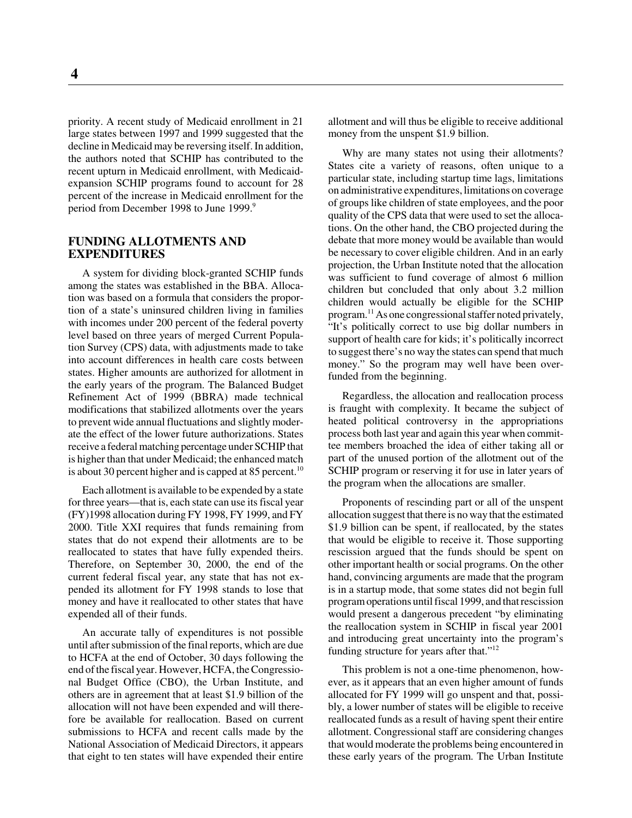priority. A recent study of Medicaid enrollment in 21 large states between 1997 and 1999 suggested that the decline in Medicaid may be reversing itself. In addition, the authors noted that SCHIP has contributed to the recent upturn in Medicaid enrollment, with Medicaidexpansion SCHIP programs found to account for 28 percent of the increase in Medicaid enrollment for the period from December 1998 to June 1999.<sup>9</sup>

#### **FUNDING ALLOTMENTS AND EXPENDITURES**

A system for dividing block-granted SCHIP funds among the states was established in the BBA. Allocation was based on a formula that considers the proportion of a state's uninsured children living in families with incomes under 200 percent of the federal poverty level based on three years of merged Current Population Survey (CPS) data, with adjustments made to take into account differences in health care costs between states. Higher amounts are authorized for allotment in the early years of the program. The Balanced Budget Refinement Act of 1999 (BBRA) made technical modifications that stabilized allotments over the years to prevent wide annual fluctuations and slightly moderate the effect of the lower future authorizations. States receive a federal matching percentage under SCHIP that is higher than that under Medicaid; the enhanced match is about 30 percent higher and is capped at 85 percent.<sup>10</sup>

Each allotment is available to be expended by a state for three years—that is, each state can use its fiscal year (FY)1998 allocation during FY 1998, FY 1999, and FY 2000. Title XXI requires that funds remaining from states that do not expend their allotments are to be reallocated to states that have fully expended theirs. Therefore, on September 30, 2000, the end of the current federal fiscal year, any state that has not expended its allotment for FY 1998 stands to lose that money and have it reallocated to other states that have expended all of their funds.

An accurate tally of expenditures is not possible until after submission of the final reports, which are due to HCFA at the end of October, 30 days following the end of the fiscal year. However, HCFA, the Congressional Budget Office (CBO), the Urban Institute, and others are in agreement that at least \$1.9 billion of the allocation will not have been expended and will therefore be available for reallocation. Based on current submissions to HCFA and recent calls made by the National Association of Medicaid Directors, it appears that eight to ten states will have expended their entire

allotment and will thus be eligible to receive additional money from the unspent \$1.9 billion.

Why are many states not using their allotments? States cite a variety of reasons, often unique to a particular state, including startup time lags, limitations on administrative expenditures, limitations on coverage of groups like children of state employees, and the poor quality of the CPS data that were used to set the allocations. On the other hand, the CBO projected during the debate that more money would be available than would be necessary to cover eligible children. And in an early projection, the Urban Institute noted that the allocation was sufficient to fund coverage of almost 6 million children but concluded that only about 3.2 million children would actually be eligible for the SCHIP program.<sup>11</sup> As one congressional staffer noted privately, "It's politically correct to use big dollar numbers in support of health care for kids; it's politically incorrect to suggest there's no way the states can spend that much money." So the program may well have been overfunded from the beginning.

Regardless, the allocation and reallocation process is fraught with complexity. It became the subject of heated political controversy in the appropriations process both last year and again this year when committee members broached the idea of either taking all or part of the unused portion of the allotment out of the SCHIP program or reserving it for use in later years of the program when the allocations are smaller.

Proponents of rescinding part or all of the unspent allocation suggest that there is no way that the estimated \$1.9 billion can be spent, if reallocated, by the states that would be eligible to receive it. Those supporting rescission argued that the funds should be spent on other important health or social programs. On the other hand, convincing arguments are made that the program is in a startup mode, that some states did not begin full program operations until fiscal 1999, and that rescission would present a dangerous precedent "by eliminating the reallocation system in SCHIP in fiscal year 2001 and introducing great uncertainty into the program's funding structure for years after that." $12$ 

This problem is not a one-time phenomenon, however, as it appears that an even higher amount of funds allocated for FY 1999 will go unspent and that, possibly, a lower number of states will be eligible to receive reallocated funds as a result of having spent their entire allotment. Congressional staff are considering changes that would moderate the problems being encountered in these early years of the program. The Urban Institute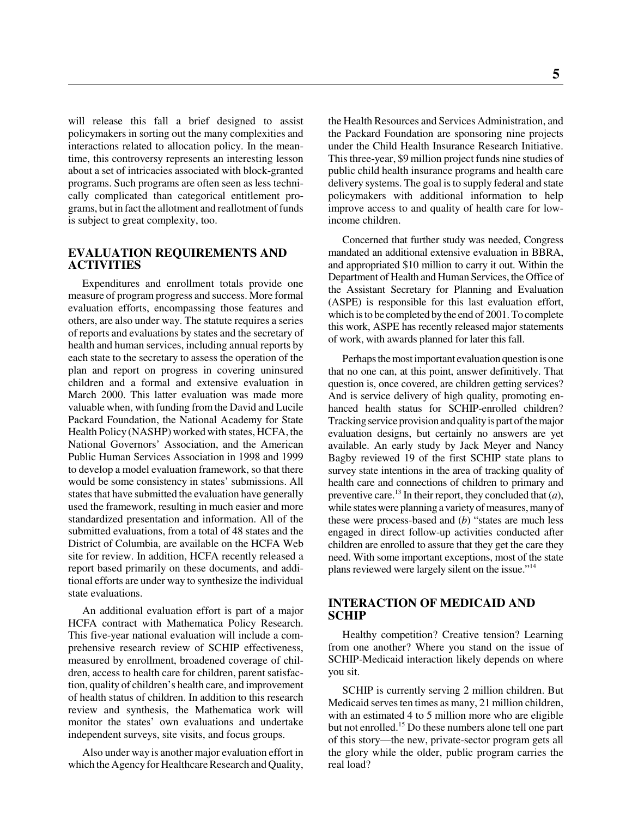will release this fall a brief designed to assist policymakers in sorting out the many complexities and interactions related to allocation policy. In the meantime, this controversy represents an interesting lesson about a set of intricacies associated with block-granted programs. Such programs are often seen as less technically complicated than categorical entitlement programs, but in fact the allotment and reallotment of funds is subject to great complexity, too.

#### **EVALUATION REQUIREMENTS AND ACTIVITIES**

Expenditures and enrollment totals provide one measure of program progress and success. More formal evaluation efforts, encompassing those features and others, are also under way. The statute requires a series of reports and evaluations by states and the secretary of health and human services, including annual reports by each state to the secretary to assess the operation of the plan and report on progress in covering uninsured children and a formal and extensive evaluation in March 2000. This latter evaluation was made more valuable when, with funding from the David and Lucile Packard Foundation, the National Academy for State Health Policy (NASHP) worked with states, HCFA, the National Governors' Association, and the American Public Human Services Association in 1998 and 1999 to develop a model evaluation framework, so that there would be some consistency in states' submissions. All states that have submitted the evaluation have generally used the framework, resulting in much easier and more standardized presentation and information. All of the submitted evaluations, from a total of 48 states and the District of Columbia, are available on the HCFA Web site for review. In addition, HCFA recently released a report based primarily on these documents, and additional efforts are under way to synthesize the individual state evaluations.

An additional evaluation effort is part of a major HCFA contract with Mathematica Policy Research. This five-year national evaluation will include a comprehensive research review of SCHIP effectiveness, measured by enrollment, broadened coverage of children, access to health care for children, parent satisfaction, quality of children's health care, and improvement of health status of children. In addition to this research review and synthesis, the Mathematica work will monitor the states' own evaluations and undertake independent surveys, site visits, and focus groups.

Also under way is another major evaluation effort in which the Agency for Healthcare Research and Quality,

the Health Resources and Services Administration, and the Packard Foundation are sponsoring nine projects under the Child Health Insurance Research Initiative. This three-year, \$9 million project funds nine studies of public child health insurance programs and health care delivery systems. The goal is to supply federal and state policymakers with additional information to help improve access to and quality of health care for lowincome children.

Concerned that further study was needed, Congress mandated an additional extensive evaluation in BBRA, and appropriated \$10 million to carry it out. Within the Department of Health and Human Services, the Office of the Assistant Secretary for Planning and Evaluation (ASPE) is responsible for this last evaluation effort, which is to be completed by the end of 2001. To complete this work, ASPE has recently released major statements of work, with awards planned for later this fall.

Perhaps the most important evaluation question is one that no one can, at this point, answer definitively. That question is, once covered, are children getting services? And is service delivery of high quality, promoting enhanced health status for SCHIP-enrolled children? Tracking service provision and quality is part of the major evaluation designs, but certainly no answers are yet available. An early study by Jack Meyer and Nancy Bagby reviewed 19 of the first SCHIP state plans to survey state intentions in the area of tracking quality of health care and connections of children to primary and preventive care.<sup>13</sup> In their report, they concluded that  $(a)$ , while states were planning a variety of measures, many of these were process-based and (*b*) "states are much less engaged in direct follow-up activities conducted after children are enrolled to assure that they get the care they need. With some important exceptions, most of the state plans reviewed were largely silent on the issue."14

#### **INTERACTION OF MEDICAID AND SCHIP**

Healthy competition? Creative tension? Learning from one another? Where you stand on the issue of SCHIP-Medicaid interaction likely depends on where you sit.

SCHIP is currently serving 2 million children. But Medicaid serves ten times as many, 21 million children, with an estimated 4 to 5 million more who are eligible but not enrolled.15 Do these numbers alone tell one part of this story—the new, private-sector program gets all the glory while the older, public program carries the real load?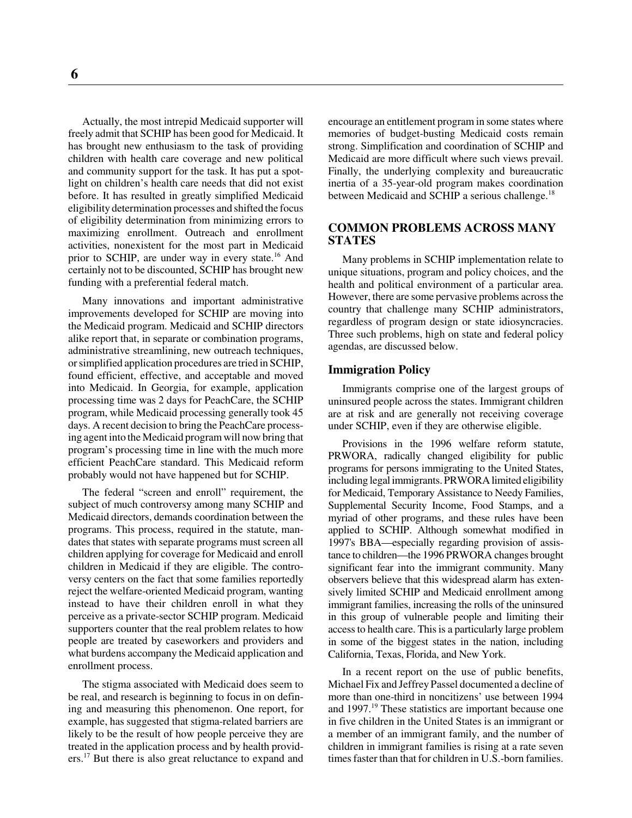Actually, the most intrepid Medicaid supporter will freely admit that SCHIP has been good for Medicaid. It has brought new enthusiasm to the task of providing

children with health care coverage and new political and community support for the task. It has put a spotlight on children's health care needs that did not exist before. It has resulted in greatly simplified Medicaid eligibility determination processes and shifted the focus of eligibility determination from minimizing errors to maximizing enrollment. Outreach and enrollment activities, nonexistent for the most part in Medicaid prior to SCHIP, are under way in every state.<sup>16</sup> And certainly not to be discounted, SCHIP has brought new funding with a preferential federal match.

Many innovations and important administrative improvements developed for SCHIP are moving into the Medicaid program. Medicaid and SCHIP directors alike report that, in separate or combination programs, administrative streamlining, new outreach techniques, or simplified application procedures are tried in SCHIP, found efficient, effective, and acceptable and moved into Medicaid. In Georgia, for example, application processing time was 2 days for PeachCare, the SCHIP program, while Medicaid processing generally took 45 days. A recent decision to bring the PeachCare processing agent into the Medicaid program will now bring that program's processing time in line with the much more efficient PeachCare standard. This Medicaid reform probably would not have happened but for SCHIP.

The federal "screen and enroll" requirement, the subject of much controversy among many SCHIP and Medicaid directors, demands coordination between the programs. This process, required in the statute, mandates that states with separate programs must screen all children applying for coverage for Medicaid and enroll children in Medicaid if they are eligible. The controversy centers on the fact that some families reportedly reject the welfare-oriented Medicaid program, wanting instead to have their children enroll in what they perceive as a private-sector SCHIP program. Medicaid supporters counter that the real problem relates to how people are treated by caseworkers and providers and what burdens accompany the Medicaid application and enrollment process.

The stigma associated with Medicaid does seem to be real, and research is beginning to focus in on defining and measuring this phenomenon. One report, for example, has suggested that stigma-related barriers are likely to be the result of how people perceive they are treated in the application process and by health providers.<sup>17</sup> But there is also great reluctance to expand and

encourage an entitlement program in some states where memories of budget-busting Medicaid costs remain strong. Simplification and coordination of SCHIP and Medicaid are more difficult where such views prevail. Finally, the underlying complexity and bureaucratic inertia of a 35-year-old program makes coordination between Medicaid and SCHIP a serious challenge.<sup>18</sup>

#### **COMMON PROBLEMS ACROSS MANY STATES**

Many problems in SCHIP implementation relate to unique situations, program and policy choices, and the health and political environment of a particular area. However, there are some pervasive problems across the country that challenge many SCHIP administrators, regardless of program design or state idiosyncracies. Three such problems, high on state and federal policy agendas, are discussed below.

#### **Immigration Policy**

Immigrants comprise one of the largest groups of uninsured people across the states. Immigrant children are at risk and are generally not receiving coverage under SCHIP, even if they are otherwise eligible.

Provisions in the 1996 welfare reform statute, PRWORA, radically changed eligibility for public programs for persons immigrating to the United States, including legal immigrants. PRWORA limited eligibility for Medicaid, Temporary Assistance to Needy Families, Supplemental Security Income, Food Stamps, and a myriad of other programs, and these rules have been applied to SCHIP. Although somewhat modified in 1997's BBA—especially regarding provision of assistance to children—the 1996 PRWORA changes brought significant fear into the immigrant community. Many observers believe that this widespread alarm has extensively limited SCHIP and Medicaid enrollment among immigrant families, increasing the rolls of the uninsured in this group of vulnerable people and limiting their access to health care. This is a particularly large problem in some of the biggest states in the nation, including California, Texas, Florida, and New York.

In a recent report on the use of public benefits, Michael Fix and Jeffrey Passel documented a decline of more than one-third in noncitizens' use between 1994 and 1997.<sup>19</sup> These statistics are important because one in five children in the United States is an immigrant or a member of an immigrant family, and the number of children in immigrant families is rising at a rate seven times faster than that for children in U.S.-born families.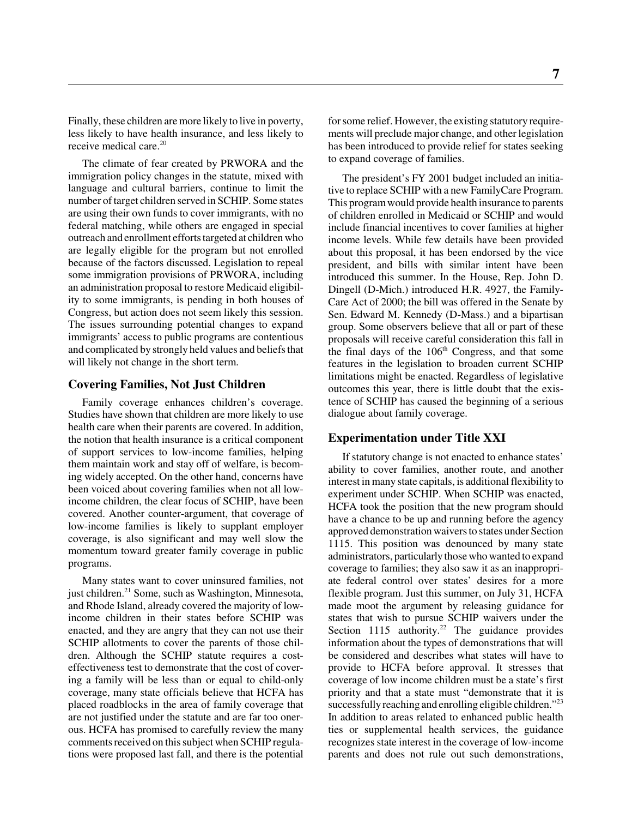Finally, these children are more likely to live in poverty, less likely to have health insurance, and less likely to receive medical care.<sup>20</sup>

The climate of fear created by PRWORA and the immigration policy changes in the statute, mixed with language and cultural barriers, continue to limit the number of target children served in SCHIP. Some states are using their own funds to cover immigrants, with no federal matching, while others are engaged in special outreach and enrollment efforts targeted at children who are legally eligible for the program but not enrolled because of the factors discussed. Legislation to repeal some immigration provisions of PRWORA, including an administration proposal to restore Medicaid eligibility to some immigrants, is pending in both houses of Congress, but action does not seem likely this session. The issues surrounding potential changes to expand immigrants' access to public programs are contentious and complicated by strongly held values and beliefs that will likely not change in the short term.

#### **Covering Families, Not Just Children**

Family coverage enhances children's coverage. Studies have shown that children are more likely to use health care when their parents are covered. In addition, the notion that health insurance is a critical component of support services to low-income families, helping them maintain work and stay off of welfare, is becoming widely accepted. On the other hand, concerns have been voiced about covering families when not all lowincome children, the clear focus of SCHIP, have been covered. Another counter-argument, that coverage of low-income families is likely to supplant employer coverage, is also significant and may well slow the momentum toward greater family coverage in public programs.

Many states want to cover uninsured families, not just children.<sup>21</sup> Some, such as Washington, Minnesota, and Rhode Island, already covered the majority of lowincome children in their states before SCHIP was enacted, and they are angry that they can not use their SCHIP allotments to cover the parents of those children. Although the SCHIP statute requires a costeffectiveness test to demonstrate that the cost of covering a family will be less than or equal to child-only coverage, many state officials believe that HCFA has placed roadblocks in the area of family coverage that are not justified under the statute and are far too onerous. HCFA has promised to carefully review the many comments received on this subject when SCHIP regulations were proposed last fall, and there is the potential

for some relief. However, the existing statutory requirements will preclude major change, and other legislation has been introduced to provide relief for states seeking to expand coverage of families.

The president's FY 2001 budget included an initiative to replace SCHIP with a new FamilyCare Program. This program would provide health insurance to parents of children enrolled in Medicaid or SCHIP and would include financial incentives to cover families at higher income levels. While few details have been provided about this proposal, it has been endorsed by the vice president, and bills with similar intent have been introduced this summer. In the House, Rep. John D. Dingell (D-Mich.) introduced H.R. 4927, the Family-Care Act of 2000; the bill was offered in the Senate by Sen. Edward M. Kennedy (D-Mass.) and a bipartisan group. Some observers believe that all or part of these proposals will receive careful consideration this fall in the final days of the  $106<sup>th</sup>$  Congress, and that some features in the legislation to broaden current SCHIP limitations might be enacted. Regardless of legislative outcomes this year, there is little doubt that the existence of SCHIP has caused the beginning of a serious dialogue about family coverage.

#### **Experimentation under Title XXI**

If statutory change is not enacted to enhance states' ability to cover families, another route, and another interest in many state capitals, is additional flexibility to experiment under SCHIP. When SCHIP was enacted, HCFA took the position that the new program should have a chance to be up and running before the agency approved demonstration waivers to states under Section 1115. This position was denounced by many state administrators, particularly those who wanted to expand coverage to families; they also saw it as an inappropriate federal control over states' desires for a more flexible program. Just this summer, on July 31, HCFA made moot the argument by releasing guidance for states that wish to pursue SCHIP waivers under the Section 1115 authority.<sup>22</sup> The guidance provides information about the types of demonstrations that will be considered and describes what states will have to provide to HCFA before approval. It stresses that coverage of low income children must be a state's first priority and that a state must "demonstrate that it is successfully reaching and enrolling eligible children."<sup>23</sup> In addition to areas related to enhanced public health ties or supplemental health services, the guidance recognizes state interest in the coverage of low-income parents and does not rule out such demonstrations,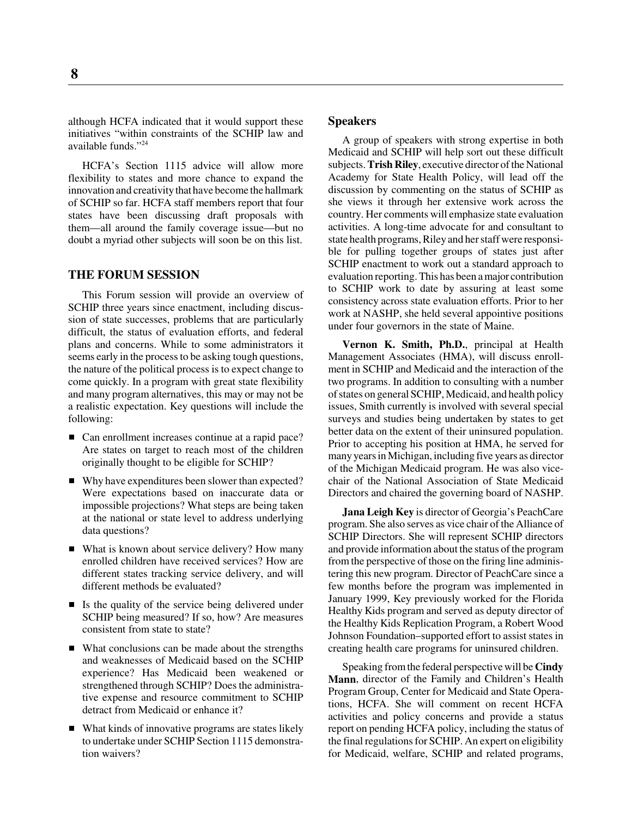although HCFA indicated that it would support these initiatives "within constraints of the SCHIP law and available funds<sup>",24</sup>

HCFA's Section 1115 advice will allow more flexibility to states and more chance to expand the innovation and creativity that have become the hallmark of SCHIP so far. HCFA staff members report that four states have been discussing draft proposals with them—all around the family coverage issue—but no doubt a myriad other subjects will soon be on this list.

#### **THE FORUM SESSION**

This Forum session will provide an overview of SCHIP three years since enactment, including discussion of state successes, problems that are particularly difficult, the status of evaluation efforts, and federal plans and concerns. While to some administrators it seems early in the process to be asking tough questions, the nature of the political process is to expect change to come quickly. In a program with great state flexibility and many program alternatives, this may or may not be a realistic expectation. Key questions will include the following:

- Can enrollment increases continue at a rapid pace? Are states on target to reach most of the children originally thought to be eligible for SCHIP?
- Why have expenditures been slower than expected? Were expectations based on inaccurate data or impossible projections? What steps are being taken at the national or state level to address underlying data questions?
- What is known about service delivery? How many enrolled children have received services? How are different states tracking service delivery, and will different methods be evaluated?
- If Is the quality of the service being delivered under SCHIP being measured? If so, how? Are measures consistent from state to state?
- What conclusions can be made about the strengths and weaknesses of Medicaid based on the SCHIP experience? Has Medicaid been weakened or strengthened through SCHIP? Does the administrative expense and resource commitment to SCHIP detract from Medicaid or enhance it?
- What kinds of innovative programs are states likely to undertake under SCHIP Section 1115 demonstration waivers?

#### **Speakers**

A group of speakers with strong expertise in both Medicaid and SCHIP will help sort out these difficult subjects. **Trish Riley**, executive director of the National Academy for State Health Policy, will lead off the discussion by commenting on the status of SCHIP as she views it through her extensive work across the country. Her comments will emphasize state evaluation activities. A long-time advocate for and consultant to state health programs, Riley and her staff were responsible for pulling together groups of states just after SCHIP enactment to work out a standard approach to evaluation reporting. This has been a major contribution to SCHIP work to date by assuring at least some consistency across state evaluation efforts. Prior to her work at NASHP, she held several appointive positions under four governors in the state of Maine.

**Vernon K. Smith, Ph.D.**, principal at Health Management Associates (HMA), will discuss enrollment in SCHIP and Medicaid and the interaction of the two programs. In addition to consulting with a number of states on general SCHIP, Medicaid, and health policy issues, Smith currently is involved with several special surveys and studies being undertaken by states to get better data on the extent of their uninsured population. Prior to accepting his position at HMA, he served for many years in Michigan, including five years as director of the Michigan Medicaid program. He was also vicechair of the National Association of State Medicaid Directors and chaired the governing board of NASHP.

**Jana Leigh Key** is director of Georgia's PeachCare program. She also serves as vice chair of the Alliance of SCHIP Directors. She will represent SCHIP directors and provide information about the status of the program from the perspective of those on the firing line administering this new program. Director of PeachCare since a few months before the program was implemented in January 1999, Key previously worked for the Florida Healthy Kids program and served as deputy director of the Healthy Kids Replication Program, a Robert Wood Johnson Foundation–supported effort to assist states in creating health care programs for uninsured children.

Speaking from the federal perspective will be **Cindy Mann**, director of the Family and Children's Health Program Group, Center for Medicaid and State Operations, HCFA. She will comment on recent HCFA activities and policy concerns and provide a status report on pending HCFA policy, including the status of the final regulations for SCHIP. An expert on eligibility for Medicaid, welfare, SCHIP and related programs,